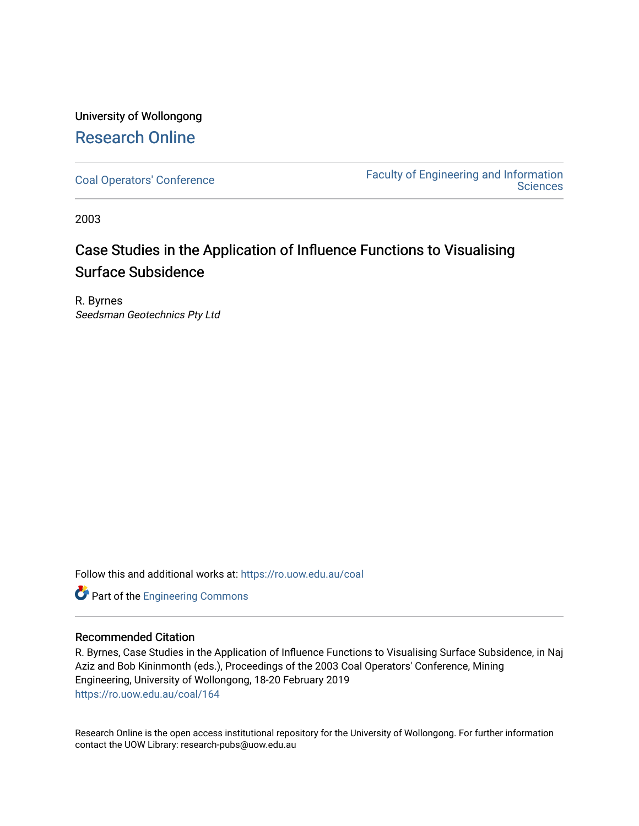## University of Wollongong [Research Online](https://ro.uow.edu.au/)

[Coal Operators' Conference](https://ro.uow.edu.au/coal) [Faculty of Engineering and Information](https://ro.uow.edu.au/eis)  **Sciences** 

2003

## Case Studies in the Application of Influence Functions to Visualising Surface Subsidence

R. Byrnes Seedsman Geotechnics Pty Ltd

Follow this and additional works at: [https://ro.uow.edu.au/coal](https://ro.uow.edu.au/coal?utm_source=ro.uow.edu.au%2Fcoal%2F164&utm_medium=PDF&utm_campaign=PDFCoverPages) 

Part of the [Engineering Commons](http://network.bepress.com/hgg/discipline/217?utm_source=ro.uow.edu.au%2Fcoal%2F164&utm_medium=PDF&utm_campaign=PDFCoverPages)

### Recommended Citation

R. Byrnes, Case Studies in the Application of Influence Functions to Visualising Surface Subsidence, in Naj Aziz and Bob Kininmonth (eds.), Proceedings of the 2003 Coal Operators' Conference, Mining Engineering, University of Wollongong, 18-20 February 2019 [https://ro.uow.edu.au/coal/164](https://ro.uow.edu.au/coal/164?utm_source=ro.uow.edu.au%2Fcoal%2F164&utm_medium=PDF&utm_campaign=PDFCoverPages) 

Research Online is the open access institutional repository for the University of Wollongong. For further information contact the UOW Library: research-pubs@uow.edu.au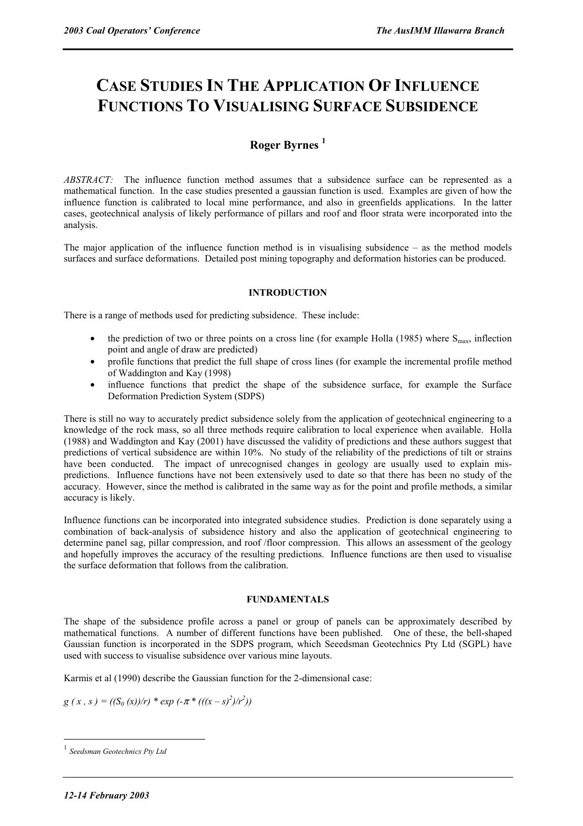# **CASE STUDIES IN THE APPLICATION OF INFLUENCE FUNCTIONS TO VISUALISING SURFACE SUBSIDENCE**

### **Roger Byrnes <sup>1</sup>**

*ABSTRACT:*The influence function method assumes that a subsidence surface can be represented as a mathematical function. In the case studies presented a gaussian function is used. Examples are given of how the influence function is calibrated to local mine performance, and also in greenfields applications. In the latter cases, geotechnical analysis of likely performance of pillars and roof and floor strata were incorporated into the analysis.

The major application of the influence function method is in visualising subsidence  $-$  as the method models surfaces and surface deformations. Detailed post mining topography and deformation histories can be produced.

### **INTRODUCTION**

There is a range of methods used for predicting subsidence. These include:

- the prediction of two or three points on a cross line (for example Holla (1985) where  $S<sub>max</sub>$ , inflection point and angle of draw are predicted)
- profile functions that predict the full shape of cross lines (for example the incremental profile method of Waddington and Kay (1998)
- influence functions that predict the shape of the subsidence surface, for example the Surface Deformation Prediction System (SDPS)

There is still no way to accurately predict subsidence solely from the application of geotechnical engineering to a knowledge of the rock mass, so all three methods require calibration to local experience when available. Holla (1988) and Waddington and Kay (2001) have discussed the validity of predictions and these authors suggest that predictions of vertical subsidence are within 10%. No study of the reliability of the predictions of tilt or strains have been conducted. The impact of unrecognised changes in geology are usually used to explain mispredictions. Influence functions have not been extensively used to date so that there has been no study of the accuracy. However, since the method is calibrated in the same way as for the point and profile methods, a similar accuracy is likely.

Influence functions can be incorporated into integrated subsidence studies. Prediction is done separately using a combination of back-analysis of subsidence history and also the application of geotechnical engineering to determine panel sag, pillar compression, and roof /floor compression. This allows an assessment of the geology and hopefully improves the accuracy of the resulting predictions. Influence functions are then used to visualise the surface deformation that follows from the calibration.

#### **FUNDAMENTALS**

The shape of the subsidence profile across a panel or group of panels can be approximately described by mathematical functions. A number of different functions have been published. One of these, the bell-shaped Gaussian function is incorporated in the SDPS program, which Seeedsman Geotechnics Pty Ltd (SGPL) have used with success to visualise subsidence over various mine layouts.

Karmis et al (1990) describe the Gaussian function for the 2-dimensional case:

 $g(x, s) = ((S_0(x))/r) * exp(-\pi * (((x - s)^2)/r^2))$ 

 $\overline{a}$ 

<sup>1</sup> *Seedsman Geotechnics Pty Ltd*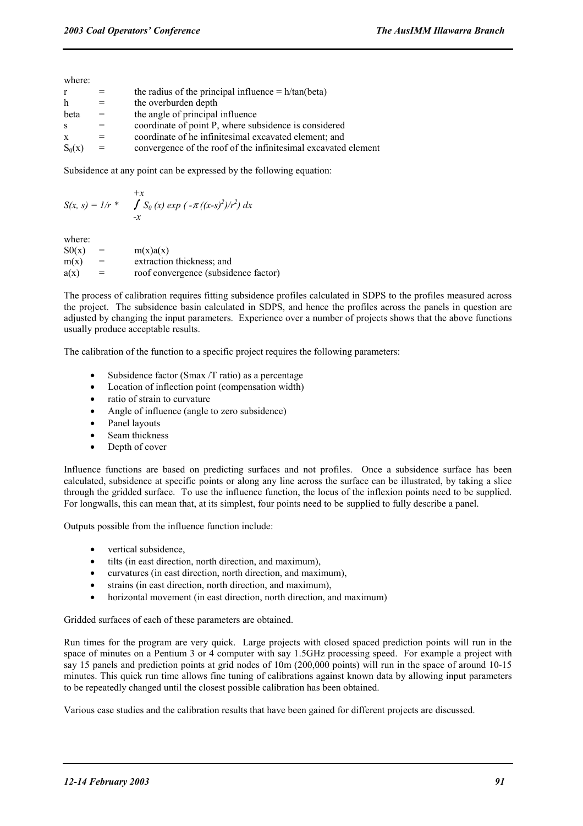where:

| $\mathbf{r}$ |     | the radius of the principal influence $= h/tan(beta)$          |
|--------------|-----|----------------------------------------------------------------|
| h            |     | the overburden depth                                           |
| beta         |     | the angle of principal influence                               |
| -S           |     | coordinate of point P, where subsidence is considered          |
| $\mathbf{x}$ |     | coordinate of he infinitesimal excavated element; and          |
| $S_0(x)$     | $=$ | convergence of the roof of the infinitesimal excavated element |
|              |     |                                                                |

Subsidence at any point can be expressed by the following equation:

$$
S(x, s) = 1/r * \int_{-x}^{+x} S_0(x) \exp(-\pi((x-s)^2)/r^2) dx
$$

where:

| S0(x) | $=$ | m(x)a(x)                             |
|-------|-----|--------------------------------------|
| m(x)  | $=$ | extraction thickness; and            |
| a(x)  | $=$ | roof convergence (subsidence factor) |

The process of calibration requires fitting subsidence profiles calculated in SDPS to the profiles measured across the project. The subsidence basin calculated in SDPS, and hence the profiles across the panels in question are adjusted by changing the input parameters. Experience over a number of projects shows that the above functions usually produce acceptable results.

The calibration of the function to a specific project requires the following parameters:

- Subsidence factor (Smax /T ratio) as a percentage
- Location of inflection point (compensation width)
- ratio of strain to curvature
- Angle of influence (angle to zero subsidence)
- Panel layouts
- Seam thickness
- Depth of cover

Influence functions are based on predicting surfaces and not profiles. Once a subsidence surface has been calculated, subsidence at specific points or along any line across the surface can be illustrated, by taking a slice through the gridded surface. To use the influence function, the locus of the inflexion points need to be supplied. For longwalls, this can mean that, at its simplest, four points need to be supplied to fully describe a panel.

Outputs possible from the influence function include:

- vertical subsidence.
- tilts (in east direction, north direction, and maximum),
- curvatures (in east direction, north direction, and maximum),
- strains (in east direction, north direction, and maximum),
- horizontal movement (in east direction, north direction, and maximum)

Gridded surfaces of each of these parameters are obtained.

Run times for the program are very quick. Large projects with closed spaced prediction points will run in the space of minutes on a Pentium 3 or 4 computer with say 1.5GHz processing speed. For example a project with say 15 panels and prediction points at grid nodes of 10m (200,000 points) will run in the space of around 10-15 minutes. This quick run time allows fine tuning of calibrations against known data by allowing input parameters to be repeatedly changed until the closest possible calibration has been obtained.

Various case studies and the calibration results that have been gained for different projects are discussed.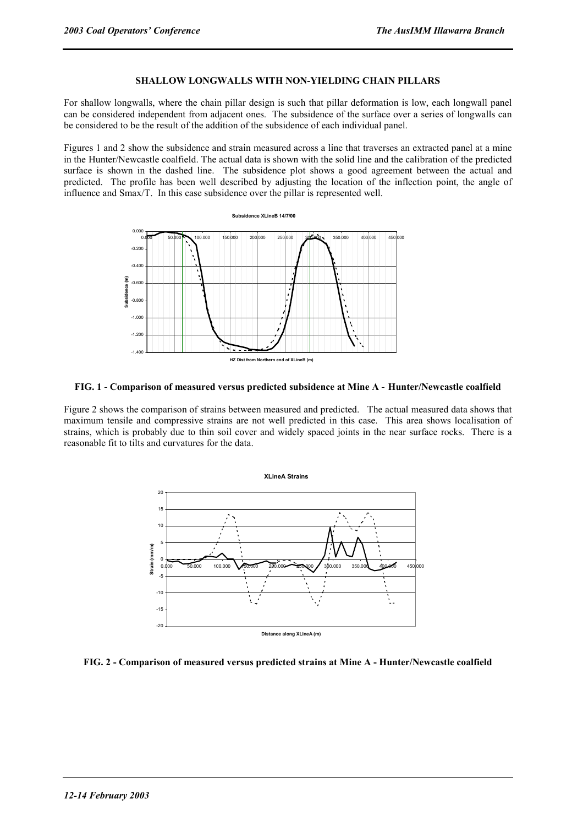### **SHALLOW LONGWALLS WITH NON-YIELDING CHAIN PILLARS**

For shallow longwalls, where the chain pillar design is such that pillar deformation is low, each longwall panel can be considered independent from adjacent ones. The subsidence of the surface over a series of longwalls can be considered to be the result of the addition of the subsidence of each individual panel.

Figures 1 and 2 show the subsidence and strain measured across a line that traverses an extracted panel at a mine in the Hunter/Newcastle coalfield. The actual data is shown with the solid line and the calibration of the predicted surface is shown in the dashed line. The subsidence plot shows a good agreement between the actual and predicted. The profile has been well described by adjusting the location of the inflection point, the angle of influence and Smax/T. In this case subsidence over the pillar is represented well.





Figure 2 shows the comparison of strains between measured and predicted. The actual measured data shows that maximum tensile and compressive strains are not well predicted in this case. This area shows localisation of strains, which is probably due to thin soil cover and widely spaced joints in the near surface rocks. There is a reasonable fit to tilts and curvatures for the data.



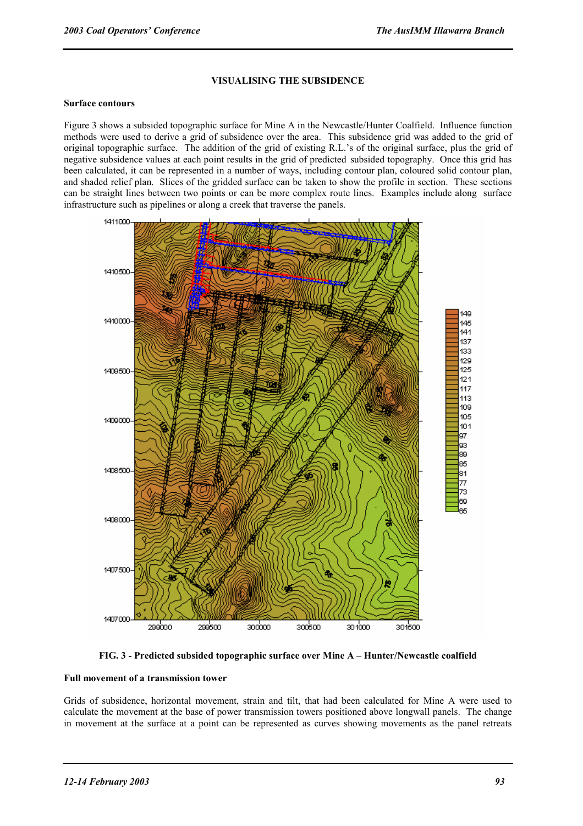#### **VISUALISING THE SUBSIDENCE**

#### **Surface contours**

Figure 3 shows a subsided topographic surface for Mine A in the Newcastle/Hunter Coalfield. Influence function methods were used to derive a grid of subsidence over the area. This subsidence grid was added to the grid of original topographic surface. The addition of the grid of existing R.L.'s of the original surface, plus the grid of negative subsidence values at each point results in the grid of predicted subsided topography. Once this grid has been calculated, it can be represented in a number of ways, including contour plan, coloured solid contour plan, and shaded relief plan. Slices of the gridded surface can be taken to show the profile in section. These sections can be straight lines between two points or can be more complex route lines. Examples include along surface infrastructure such as pipelines or along a creek that traverse the panels.



**FIG. 3 - Predicted subsided topographic surface over Mine A – Hunter/Newcastle coalfield** 

#### **Full movement of a transmission tower**

Grids of subsidence, horizontal movement, strain and tilt, that had been calculated for Mine A were used to calculate the movement at the base of power transmission towers positioned above longwall panels. The change in movement at the surface at a point can be represented as curves showing movements as the panel retreats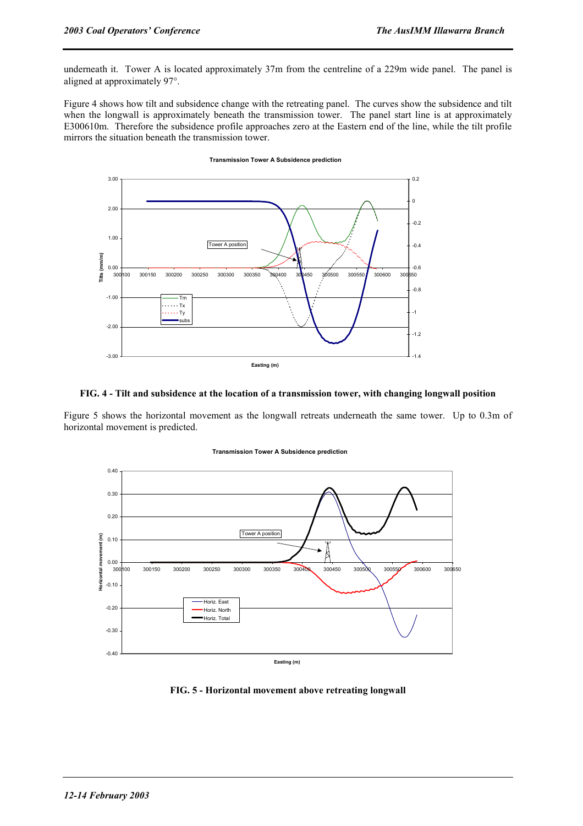underneath it. Tower A is located approximately 37m from the centreline of a 229m wide panel. The panel is aligned at approximately 97°.

Figure 4 shows how tilt and subsidence change with the retreating panel. The curves show the subsidence and tilt when the longwall is approximately beneath the transmission tower. The panel start line is at approximately E300610m. Therefore the subsidence profile approaches zero at the Eastern end of the line, while the tilt profile mirrors the situation beneath the transmission tower.

**Transmission Tower A Subsidence prediction**

#### 3.00  $0.2$ 0  $2.00$ -0.2 1.00 Tower A position -0.4 **Tilts (mm/m)** Tilts (mm/m) 0.00  $-0.6$ 300100 300150 300200 300250 300300 300350 300400 300450 300500 300550 300600 300650  $-0.8$  $-1.00$ Tm  $\cdots$  Tx  $\cdots$  Ty -1 sub -2.00 -1.2 -3.00  $-1.4$ **Easting (m)**

#### **FIG. 4 - Tilt and subsidence at the location of a transmission tower, with changing longwall position**

Figure 5 shows the horizontal movement as the longwall retreats underneath the same tower. Up to 0.3m of horizontal movement is predicted.



#### **Transmission Tower A Subsidence prediction**

**FIG. 5 - Horizontal movement above retreating longwall**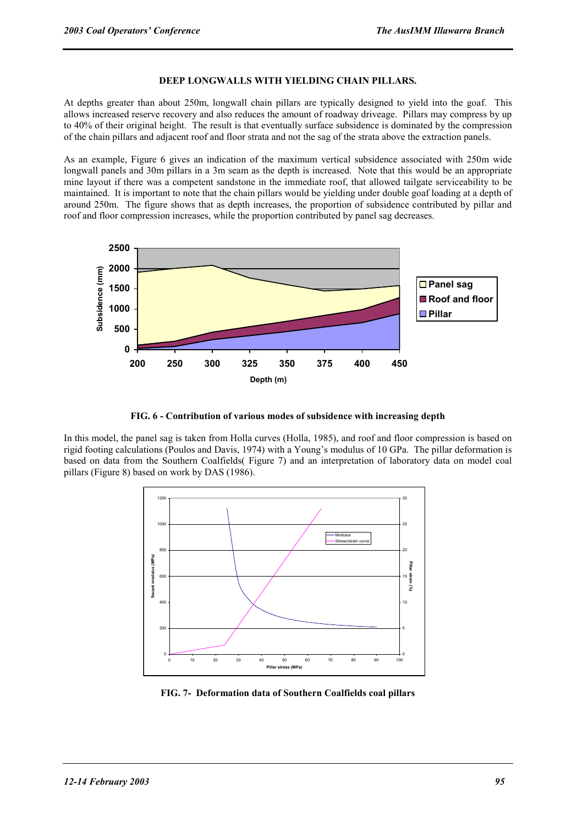#### **DEEP LONGWALLS WITH YIELDING CHAIN PILLARS.**

At depths greater than about 250m, longwall chain pillars are typically designed to yield into the goaf. This allows increased reserve recovery and also reduces the amount of roadway driveage. Pillars may compress by up to 40% of their original height. The result is that eventually surface subsidence is dominated by the compression of the chain pillars and adjacent roof and floor strata and not the sag of the strata above the extraction panels.

As an example, Figure 6 gives an indication of the maximum vertical subsidence associated with 250m wide longwall panels and 30m pillars in a 3m seam as the depth is increased. Note that this would be an appropriate mine layout if there was a competent sandstone in the immediate roof, that allowed tailgate serviceability to be maintained. It is important to note that the chain pillars would be yielding under double goaf loading at a depth of around 250m. The figure shows that as depth increases, the proportion of subsidence contributed by pillar and roof and floor compression increases, while the proportion contributed by panel sag decreases.



**FIG. 6 - Contribution of various modes of subsidence with increasing depth** 

In this model, the panel sag is taken from Holla curves (Holla, 1985), and roof and floor compression is based on rigid footing calculations (Poulos and Davis, 1974) with a Young's modulus of 10 GPa. The pillar deformation is based on data from the Southern Coalfields( Figure 7) and an interpretation of laboratory data on model coal pillars (Figure 8) based on work by DAS (1986).



**FIG. 7- Deformation data of Southern Coalfields coal pillars**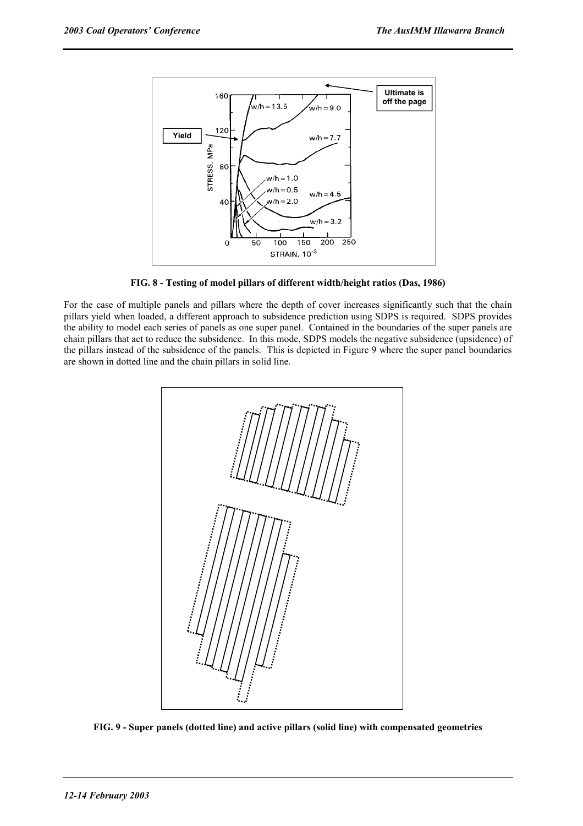

**FIG. 8 - Testing of model pillars of different width/height ratios (Das, 1986)** 

For the case of multiple panels and pillars where the depth of cover increases significantly such that the chain pillars yield when loaded, a different approach to subsidence prediction using SDPS is required. SDPS provides the ability to model each series of panels as one super panel. Contained in the boundaries of the super panels are chain pillars that act to reduce the subsidence. In this mode, SDPS models the negative subsidence (upsidence) of the pillars instead of the subsidence of the panels. This is depicted in Figure 9 where the super panel boundaries are shown in dotted line and the chain pillars in solid line.



**FIG. 9 - Super panels (dotted line) and active pillars (solid line) with compensated geometries**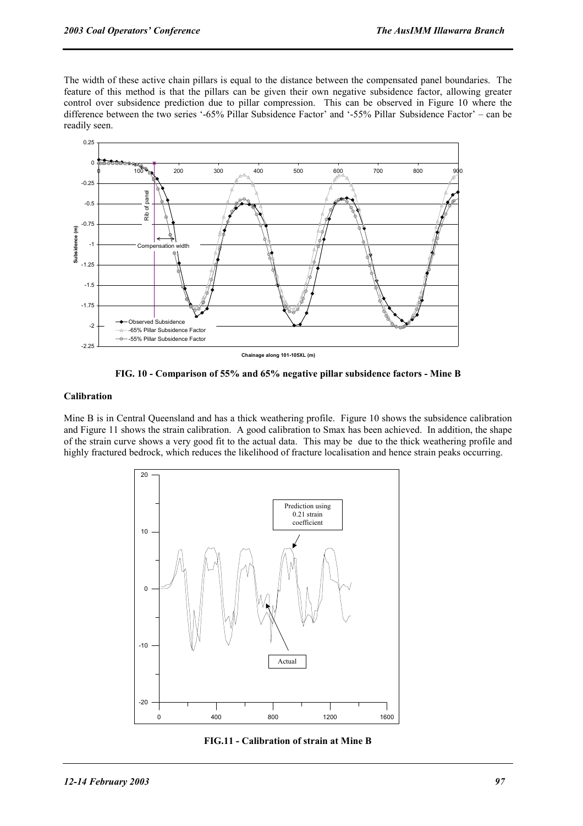The width of these active chain pillars is equal to the distance between the compensated panel boundaries. The feature of this method is that the pillars can be given their own negative subsidence factor, allowing greater control over subsidence prediction due to pillar compression. This can be observed in Figure 10 where the difference between the two series '-65% Pillar Subsidence Factor' and '-55% Pillar Subsidence Factor' – can be readily seen.



**FIG. 10 - Comparison of 55% and 65% negative pillar subsidence factors - Mine B** 

#### **Calibration**

Mine B is in Central Queensland and has a thick weathering profile. Figure 10 shows the subsidence calibration and Figure 11 shows the strain calibration. A good calibration to Smax has been achieved. In addition, the shape of the strain curve shows a very good fit to the actual data. This may be due to the thick weathering profile and highly fractured bedrock, which reduces the likelihood of fracture localisation and hence strain peaks occurring.



**FIG.11 - Calibration of strain at Mine B**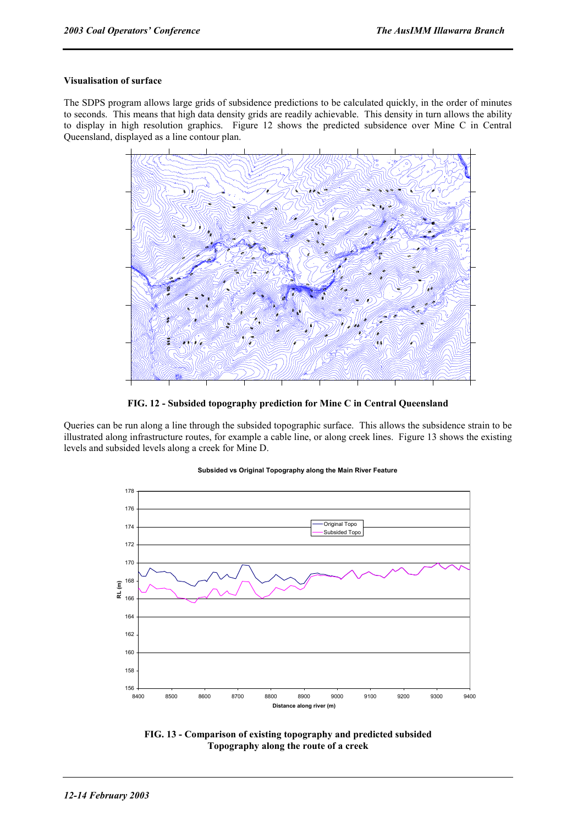#### **Visualisation of surface**

The SDPS program allows large grids of subsidence predictions to be calculated quickly, in the order of minutes to seconds. This means that high data density grids are readily achievable. This density in turn allows the ability to display in high resolution graphics. Figure 12 shows the predicted subsidence over Mine C in Central Queensland, displayed as a line contour plan.



**FIG. 12 - Subsided topography prediction for Mine C in Central Queensland** 

Queries can be run along a line through the subsided topographic surface. This allows the subsidence strain to be illustrated along infrastructure routes, for example a cable line, or along creek lines. Figure 13 shows the existing levels and subsided levels along a creek for Mine D.

#### **Subsided vs Original Topography along the Main River Feature**



**FIG. 13 - Comparison of existing topography and predicted subsided Topography along the route of a creek**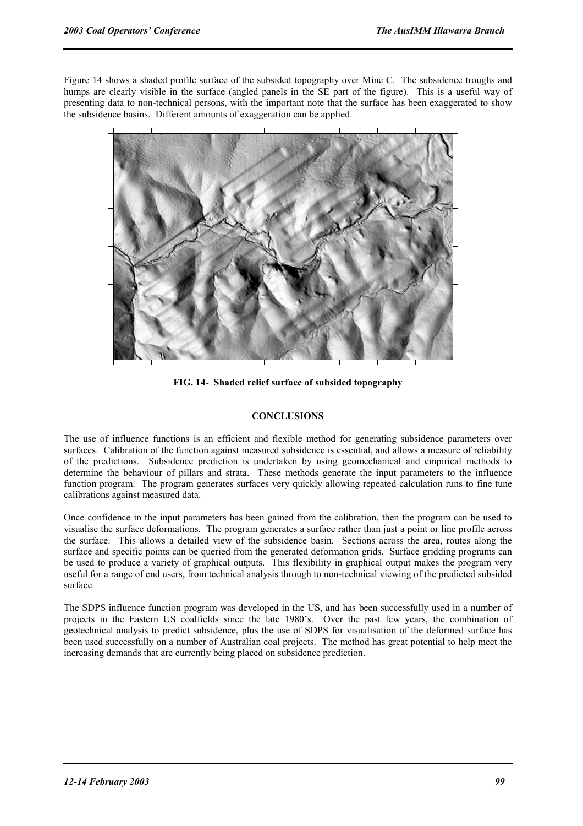Figure 14 shows a shaded profile surface of the subsided topography over Mine C. The subsidence troughs and humps are clearly visible in the surface (angled panels in the SE part of the figure). This is a useful way of presenting data to non-technical persons, with the important note that the surface has been exaggerated to show the subsidence basins. Different amounts of exaggeration can be applied.



**FIG. 14- Shaded relief surface of subsided topography** 

#### **CONCLUSIONS**

The use of influence functions is an efficient and flexible method for generating subsidence parameters over surfaces. Calibration of the function against measured subsidence is essential, and allows a measure of reliability of the predictions. Subsidence prediction is undertaken by using geomechanical and empirical methods to determine the behaviour of pillars and strata. These methods generate the input parameters to the influence function program. The program generates surfaces very quickly allowing repeated calculation runs to fine tune calibrations against measured data.

Once confidence in the input parameters has been gained from the calibration, then the program can be used to visualise the surface deformations. The program generates a surface rather than just a point or line profile across the surface. This allows a detailed view of the subsidence basin. Sections across the area, routes along the surface and specific points can be queried from the generated deformation grids. Surface gridding programs can be used to produce a variety of graphical outputs. This flexibility in graphical output makes the program very useful for a range of end users, from technical analysis through to non-technical viewing of the predicted subsided surface.

The SDPS influence function program was developed in the US, and has been successfully used in a number of projects in the Eastern US coalfields since the late 1980's. Over the past few years, the combination of geotechnical analysis to predict subsidence, plus the use of SDPS for visualisation of the deformed surface has been used successfully on a number of Australian coal projects. The method has great potential to help meet the increasing demands that are currently being placed on subsidence prediction.